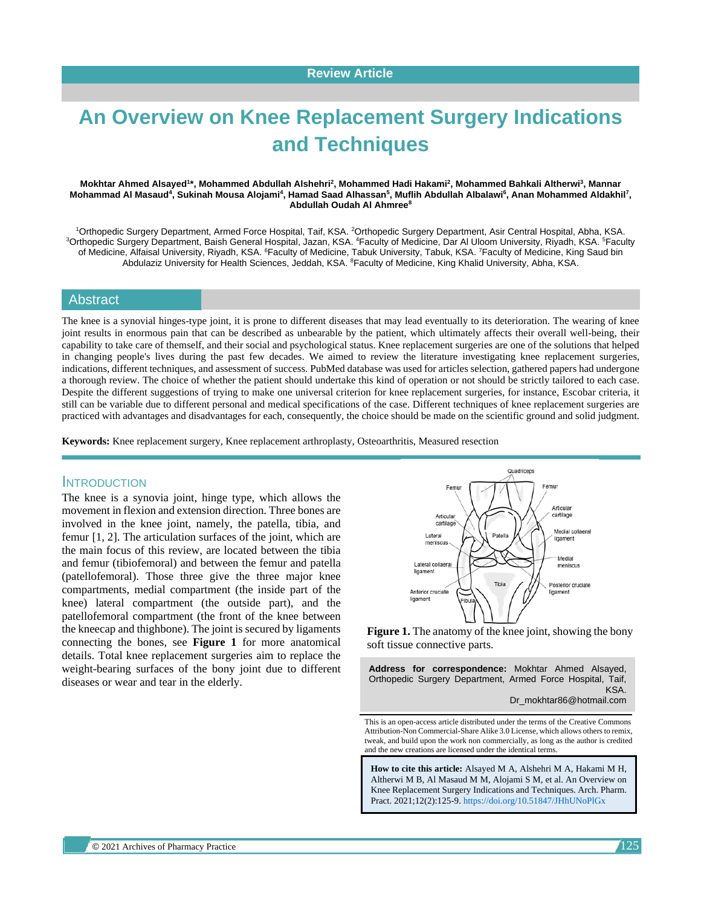# **An Overview on Knee Replacement Surgery Indications and Techniques**

#### **Mokhtar Ahmed Alsayed<sup>1</sup> \*, Mohammed Abdullah Alshehri<sup>2</sup> , Mohammed Hadi Hakami<sup>2</sup> , Mohammed Bahkali Altherwi<sup>3</sup> , Mannar**  Mohammad Al Masaud<sup>4</sup>, Sukinah Mousa Alojami<sup>4</sup>, Hamad Saad Alhassan<sup>5</sup>, Muflih Abdullah Albalawi<sup>6</sup>, Anan Mohammed Aldakhil<sup>7</sup>, **Abdullah Oudah Al Ahmree<sup>8</sup>**

<sup>1</sup>Orthopedic Surgery Department, Armed Force Hospital, Taif, KSA. <sup>2</sup>Orthopedic Surgery Department, Asir Central Hospital, Abha, KSA. <sup>3</sup>Orthopedic Surgery Department, Baish General Hospital, Jazan, KSA. <sup>4</sup>Faculty of Medicine, Dar Al Uloom University, Riyadh, KSA. <sup>5</sup>Faculty of Medicine, Alfaisal University, Riyadh, KSA. <sup>6</sup>Faculty of Medicine, Tabuk University, Tabuk, KSA. <sup>7</sup>Faculty of Medicine, King Saud bin Abdulaziz University for Health Sciences, Jeddah, KSA. <sup>8</sup>Faculty of Medicine, King Khalid University, Abha, KSA.

#### Abstract

The knee is a synovial hinges-type joint, it is prone to different diseases that may lead eventually to its deterioration. The wearing of knee joint results in enormous pain that can be described as unbearable by the patient, which ultimately affects their overall well-being, their capability to take care of themself, and their social and psychological status. Knee replacement surgeries are one of the solutions that helped in changing people's lives during the past few decades. We aimed to review the literature investigating knee replacement surgeries, indications, different techniques, and assessment of success. PubMed database was used for articles selection, gathered papers had undergone a thorough review. The choice of whether the patient should undertake this kind of operation or not should be strictly tailored to each case. Despite the different suggestions of trying to make one universal criterion for knee replacement surgeries, for instance, Escobar criteria, it still can be variable due to different personal and medical specifications of the case. Different techniques of knee replacement surgeries are practiced with advantages and disadvantages for each, consequently, the choice should be made on the scientific ground and solid judgment.

**Keywords:** Knee replacement surgery, Knee replacement arthroplasty, Osteoarthritis, Measured resection

### **INTRODUCTION**

The knee is a synovia joint, hinge type, which allows the movement in flexion and extension direction. Three bones are involved in the knee joint, namely, the patella, tibia, and femur [1, 2]. The articulation surfaces of the joint, which are the main focus of this review, are located between the tibia and femur (tibiofemoral) and between the femur and patella (patellofemoral). Those three give the three major knee compartments, medial compartment (the inside part of the knee) lateral compartment (the outside part), and the patellofemoral compartment (the front of the knee between the kneecap and thighbone). The joint is secured by ligaments connecting the bones, see **Figure 1** for more anatomical details. Total knee replacement surgeries aim to replace the weight-bearing surfaces of the bony joint due to different diseases or wear and tear in the elderly.



**Figure 1.** The anatomy of the knee joint, showing the bony soft tissue connective parts.

**Address for correspondence:** Mokhtar Ahmed Alsayed, Orthopedic Surgery Department, Armed Force Hospital, Taif, KSA. Dr\_mokhtar86@hotmail.com

This is an open-access article distributed under the terms of the Creative Commons Attribution-Non Commercial-Share Alike 3.0 License, which allows others to remix, tweak, and build upon the work non commercially, as long as the author is credited and the new creations are licensed under the identical terms.

**How to cite this article:** Alsayed M A, Alshehri M A, Hakami M H, Altherwi M B, Al Masaud M M, Alojami S M, et al. An Overview on Knee Replacement Surgery Indications and Techniques. Arch. Pharm. Pract. 2021;12(2):125-9. <https://doi.org/10.51847/JHhUNoPlGx>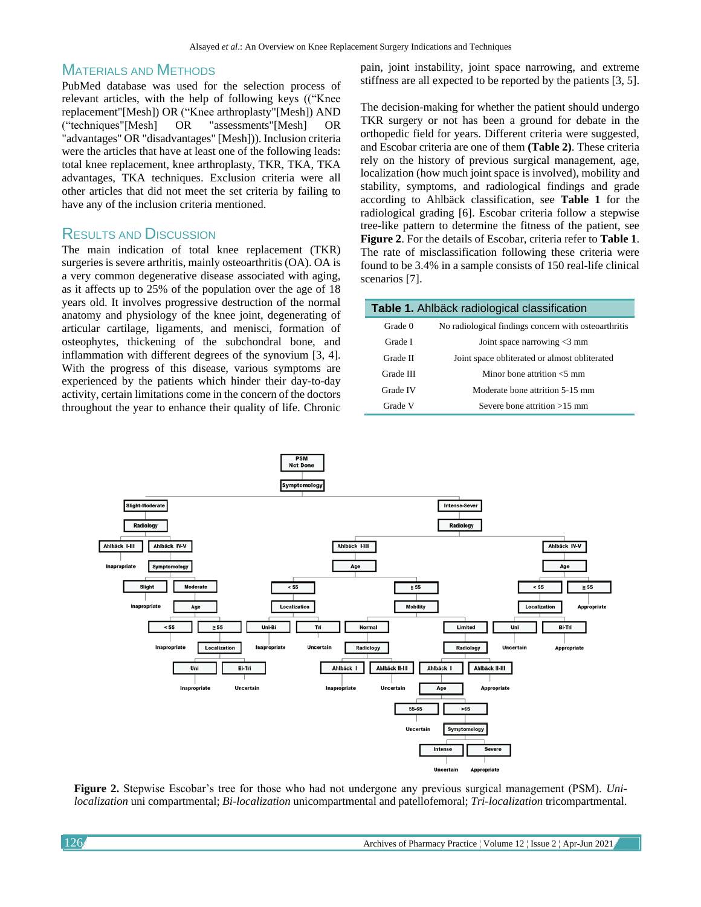## MATERIALS AND METHODS

PubMed database was used for the selection process of relevant articles, with the help of following keys (("Knee replacement"[Mesh]) OR ("Knee arthroplasty"[Mesh]) AND ("techniques"[Mesh] OR "assessments"[Mesh] OR "advantages" OR "disadvantages" [Mesh])). Inclusion criteria were the articles that have at least one of the following leads: total knee replacement, knee arthroplasty, TKR, TKA, TKA advantages, TKA techniques. Exclusion criteria were all other articles that did not meet the set criteria by failing to have any of the inclusion criteria mentioned.

## RESULTS AND DISCUSSION

The main indication of total knee replacement (TKR) surgeries is severe arthritis, mainly osteoarthritis (OA). OA is a very common degenerative disease associated with aging, as it affects up to 25% of the population over the age of 18 years old. It involves progressive destruction of the normal anatomy and physiology of the knee joint, degenerating of articular cartilage, ligaments, and menisci, formation of osteophytes, thickening of the subchondral bone, and inflammation with different degrees of the synovium [3, 4]. With the progress of this disease, various symptoms are experienced by the patients which hinder their day-to-day activity, certain limitations come in the concern of the doctors throughout the year to enhance their quality of life. Chronic

pain, joint instability, joint space narrowing, and extreme stiffness are all expected to be reported by the patients [3, 5].

The decision-making for whether the patient should undergo TKR surgery or not has been a ground for debate in the orthopedic field for years. Different criteria were suggested, and Escobar criteria are one of them **(Table 2)**. These criteria rely on the history of previous surgical management, age, localization (how much joint space is involved), mobility and stability, symptoms, and radiological findings and grade according to Ahlbäck classification, see **Table 1** for the radiological grading [6]. Escobar criteria follow a stepwise tree-like pattern to determine the fitness of the patient, see **Figure 2**. For the details of Escobar, criteria refer to **Table 1**. The rate of misclassification following these criteria were found to be 3.4% in a sample consists of 150 real-life clinical scenarios [7].

| Table 1. Ahlbäck radiological classification |                                                      |  |  |
|----------------------------------------------|------------------------------------------------------|--|--|
| Grade 0                                      | No radiological findings concern with osteoarthritis |  |  |
| Grade I                                      | Joint space narrowing $<$ 3 mm                       |  |  |
| Grade II                                     | Joint space obliterated or almost obliterated        |  |  |
| Grade III                                    | Minor bone attrition $<$ 5 mm                        |  |  |
| Grade IV                                     | Moderate bone attrition 5-15 mm                      |  |  |
| Grade V                                      | Severe bone attrition $>15$ mm                       |  |  |



**Figure 2.** Stepwise Escobar's tree for those who had not undergone any previous surgical management (PSM). *Unilocalization* uni compartmental; *Bi-localization* unicompartmental and patellofemoral; *Tri-localization* tricompartmental.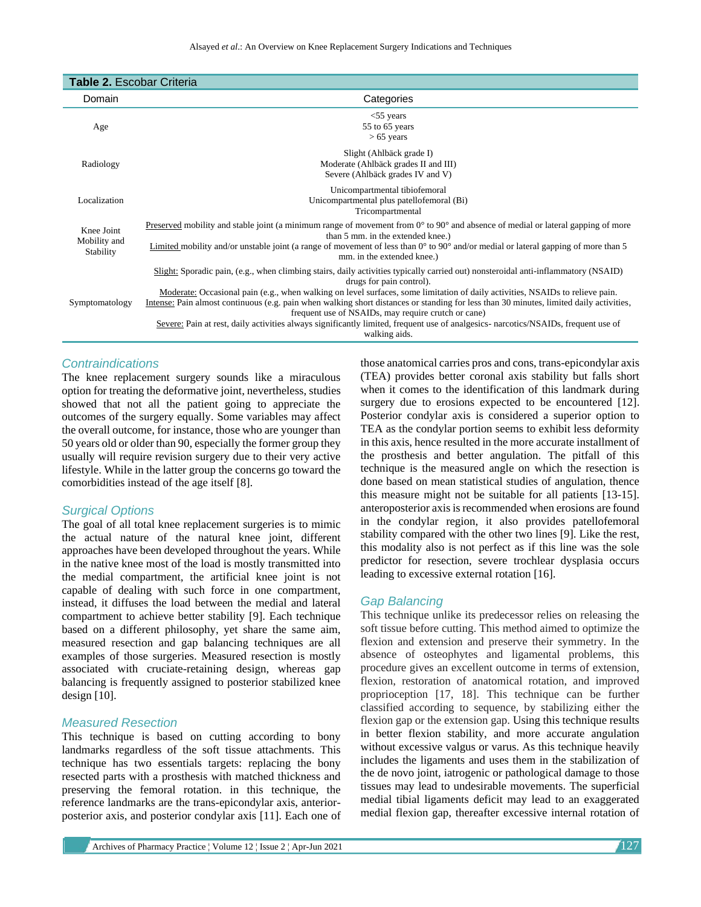| <b>Table 2. Escobar Criteria</b>               |                                                                                                                                                                                                                                                                                                                                                                                                                                                                                                                                                                                                                                                          |  |  |
|------------------------------------------------|----------------------------------------------------------------------------------------------------------------------------------------------------------------------------------------------------------------------------------------------------------------------------------------------------------------------------------------------------------------------------------------------------------------------------------------------------------------------------------------------------------------------------------------------------------------------------------------------------------------------------------------------------------|--|--|
| Domain                                         | Categories                                                                                                                                                                                                                                                                                                                                                                                                                                                                                                                                                                                                                                               |  |  |
| Age                                            | $<$ 55 years<br>55 to 65 years<br>$> 65$ years                                                                                                                                                                                                                                                                                                                                                                                                                                                                                                                                                                                                           |  |  |
| Radiology                                      | Slight (Ahlbäck grade I)<br>Moderate (Ahlbäck grades II and III)<br>Severe (Ahlbäck grades IV and V)                                                                                                                                                                                                                                                                                                                                                                                                                                                                                                                                                     |  |  |
| Localization                                   | Unicompartmental tibiofemoral<br>Unicompartmental plus patellofemoral (Bi)<br>Tricompartmental                                                                                                                                                                                                                                                                                                                                                                                                                                                                                                                                                           |  |  |
| Knee Joint<br>Mobility and<br><b>Stability</b> | Preserved mobility and stable joint (a minimum range of movement from $0^{\circ}$ to $90^{\circ}$ and absence of medial or lateral gapping of more<br>than 5 mm, in the extended knee.)<br>Limited mobility and/or unstable joint (a range of movement of less than $0^{\circ}$ to $90^{\circ}$ and/or medial or lateral gapping of more than 5<br>mm. in the extended knee.)                                                                                                                                                                                                                                                                            |  |  |
| Symptomatology                                 | Slight: Sporadic pain, (e.g., when climbing stairs, daily activities typically carried out) nonsteroidal anti-inflammatory (NSAID)<br>drugs for pain control).<br>Moderate: Occasional pain (e.g., when walking on level surfaces, some limitation of daily activities, NSAIDs to relieve pain.<br>Intense: Pain almost continuous (e.g. pain when walking short distances or standing for less than 30 minutes, limited daily activities,<br>frequent use of NSAIDs, may require crutch or cane)<br>Severe: Pain at rest, daily activities always significantly limited, frequent use of analgesics- narcotics/NSAIDs, frequent use of<br>walking aids. |  |  |

#### *Contraindications*

The knee replacement surgery sounds like a miraculous option for treating the deformative joint, nevertheless, studies showed that not all the patient going to appreciate the outcomes of the surgery equally. Some variables may affect the overall outcome, for instance, those who are younger than 50 years old or older than 90, especially the former group they usually will require revision surgery due to their very active lifestyle. While in the latter group the concerns go toward the comorbidities instead of the age itself [8].

#### *Surgical Options*

The goal of all total knee replacement surgeries is to mimic the actual nature of the natural knee joint, different approaches have been developed throughout the years. While in the native knee most of the load is mostly transmitted into the medial compartment, the artificial knee joint is not capable of dealing with such force in one compartment, instead, it diffuses the load between the medial and lateral compartment to achieve better stability [9]. Each technique based on a different philosophy, yet share the same aim, measured resection and gap balancing techniques are all examples of those surgeries. Measured resection is mostly associated with cruciate-retaining design, whereas gap balancing is frequently assigned to posterior stabilized knee design  $[10]$ .

#### *Measured Resection*

This technique is based on cutting according to bony landmarks regardless of the soft tissue attachments. This technique has two essentials targets: replacing the bony resected parts with a prosthesis with matched thickness and preserving the femoral rotation. in this technique, the reference landmarks are the trans-epicondylar axis, anteriorposterior axis, and posterior condylar axis [11]. Each one of those anatomical carries pros and cons, trans-epicondylar axis (TEA) provides better coronal axis stability but falls short when it comes to the identification of this landmark during surgery due to erosions expected to be encountered [12]. Posterior condylar axis is considered a superior option to TEA as the condylar portion seems to exhibit less deformity in this axis, hence resulted in the more accurate installment of the prosthesis and better angulation. The pitfall of this technique is the measured angle on which the resection is done based on mean statistical studies of angulation, thence this measure might not be suitable for all patients [13-15]. anteroposterior axis is recommended when erosions are found in the condylar region, it also provides patellofemoral stability compared with the other two lines [9]. Like the rest, this modality also is not perfect as if this line was the sole predictor for resection, severe trochlear dysplasia occurs leading to excessive external rotation [16].

#### *Gap Balancing*

This technique unlike its predecessor relies on releasing the soft tissue before cutting. This method aimed to optimize the flexion and extension and preserve their symmetry. In the absence of osteophytes and ligamental problems, this procedure gives an excellent outcome in terms of extension, flexion, restoration of anatomical rotation, and improved proprioception [17, 18]. This technique can be further classified according to sequence, by stabilizing either the flexion gap or the extension gap. Using this technique results in better flexion stability, and more accurate angulation without excessive valgus or varus. As this technique heavily includes the ligaments and uses them in the stabilization of the de novo joint, iatrogenic or pathological damage to those tissues may lead to undesirable movements. The superficial medial tibial ligaments deficit may lead to an exaggerated medial flexion gap, thereafter excessive internal rotation of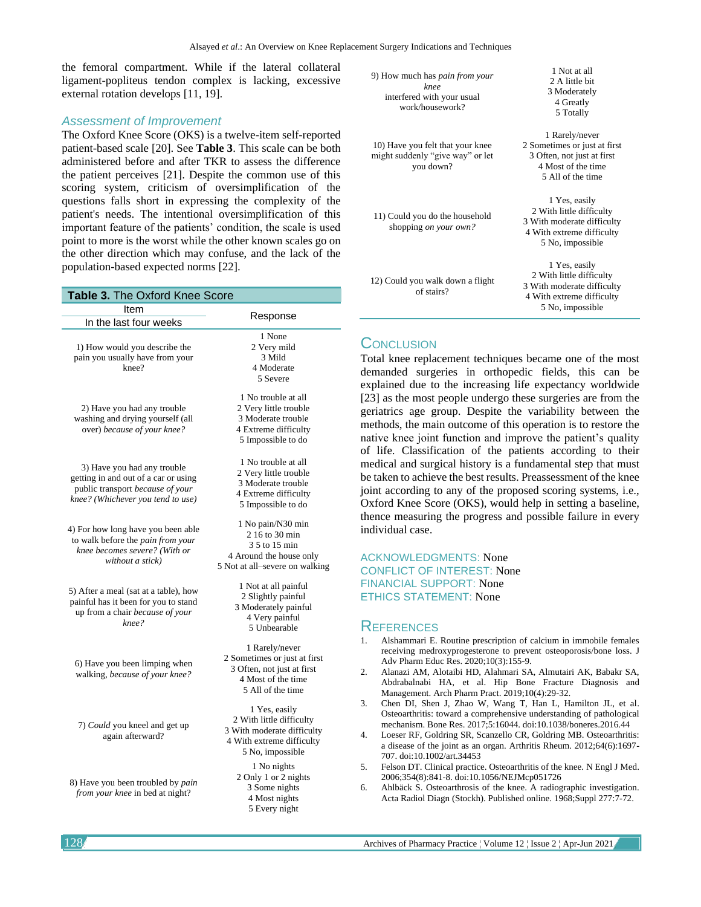the femoral compartment. While if the lateral collateral ligament-popliteus tendon complex is lacking, excessive external rotation develops [11, 19].

#### *Assessment of Improvement*

The Oxford Knee Score (OKS) is a twelve-item self-reported patient-based scale [20]. See **Table 3**. This scale can be both administered before and after TKR to assess the difference the patient perceives [21]. Despite the common use of this scoring system, criticism of oversimplification of the questions falls short in expressing the complexity of the patient's needs. The intentional oversimplification of this important feature of the patients' condition, the scale is used point to more is the worst while the other known scales go on the other direction which may confuse, and the lack of the population-based expected norms [22].

| Table 3. The Oxford Knee Score                                                                                                               |                                                                                                                          |  |  |
|----------------------------------------------------------------------------------------------------------------------------------------------|--------------------------------------------------------------------------------------------------------------------------|--|--|
| Item                                                                                                                                         |                                                                                                                          |  |  |
| In the last four weeks                                                                                                                       | Response                                                                                                                 |  |  |
| 1) How would you describe the<br>pain you usually have from your<br>knee?                                                                    | 1 None<br>2 Very mild<br>3 Mild<br>4 Moderate<br>5 Severe                                                                |  |  |
| 2) Have you had any trouble<br>washing and drying yourself (all<br>over) because of your knee?                                               | 1 No trouble at all<br>2 Very little trouble<br>3 Moderate trouble<br>4 Extreme difficulty<br>5 Impossible to do         |  |  |
| 3) Have you had any trouble<br>getting in and out of a car or using<br>public transport because of your<br>knee? (Whichever you tend to use) | 1 No trouble at all<br>2 Very little trouble<br>3 Moderate trouble<br>4 Extreme difficulty<br>5 Impossible to do         |  |  |
| 4) For how long have you been able<br>to walk before the pain from your<br>knee becomes severe? (With or<br>without a stick)                 | 1 No pain/N30 min<br>2 16 to 30 min<br>3 5 to 15 min<br>4 Around the house only<br>5 Not at all-severe on walking        |  |  |
| 5) After a meal (sat at a table), how<br>painful has it been for you to stand<br>up from a chair because of your<br>$knee$ ?                 | 1 Not at all painful<br>2 Slightly painful<br>3 Moderately painful<br>4 Very painful<br>5 Unbearable                     |  |  |
| 6) Have you been limping when<br>walking, because of your knee?                                                                              | 1 Rarely/never<br>2 Sometimes or just at first<br>3 Often, not just at first<br>4 Most of the time<br>5 All of the time  |  |  |
| 7) Could you kneel and get up<br>again afterward?                                                                                            | 1 Yes, easily<br>2 With little difficulty<br>3 With moderate difficulty<br>4 With extreme difficulty<br>5 No, impossible |  |  |
| 8) Have you been troubled by pain<br>from your knee in bed at night?                                                                         | 1 No nights<br>2 Only 1 or 2 nights<br>3 Some nights<br>4 Most nights<br>5 Every night                                   |  |  |

| 9) How much has <i>pain from your</i><br>knee<br>interfered with your usual<br>work/housework? | 1 Not at all<br>2 A little bit<br>3 Moderately<br>4 Greatly<br>5 Totally                                                 |
|------------------------------------------------------------------------------------------------|--------------------------------------------------------------------------------------------------------------------------|
| 10) Have you felt that your knee<br>might suddenly "give way" or let<br>you down?              | 1 Rarely/never<br>2 Sometimes or just at first<br>3 Often, not just at first<br>4 Most of the time<br>5 All of the time  |
| 11) Could you do the household<br>shopping <i>on your own?</i>                                 | 1 Yes, easily<br>2 With little difficulty<br>3 With moderate difficulty<br>4 With extreme difficulty<br>5 No, impossible |
| 12) Could you walk down a flight<br>of stairs?                                                 | 1 Yes, easily<br>2 With little difficulty<br>3 With moderate difficulty<br>4 With extreme difficulty<br>5 No, impossible |

#### **CONCLUSION**

Total knee replacement techniques became one of the most demanded surgeries in orthopedic fields, this can be explained due to the increasing life expectancy worldwide [23] as the most people undergo these surgeries are from the geriatrics age group. Despite the variability between the methods, the main outcome of this operation is to restore the native knee joint function and improve the patient's quality of life. Classification of the patients according to their medical and surgical history is a fundamental step that must be taken to achieve the best results. Preassessment of the knee joint according to any of the proposed scoring systems, i.e., Oxford Knee Score (OKS), would help in setting a baseline, thence measuring the progress and possible failure in every individual case.

ACKNOWLEDGMENTS: None CONFLICT OF INTEREST: None FINANCIAL SUPPORT: None ETHICS STATEMENT: None

#### **REFERENCES**

- 1. Alshammari E. Routine prescription of calcium in immobile females receiving medroxyprogesterone to prevent osteoporosis/bone loss. J Adv Pharm Educ Res. 2020;10(3):155-9.
- 2. Alanazi AM, Alotaibi HD, Alahmari SA, Almutairi AK, Babakr SA, Abdrabalnabi HA, et al. Hip Bone Fracture Diagnosis and Management. Arch Pharm Pract. 2019;10(4):29-32.
- 3. Chen DI, Shen J, Zhao W, Wang T, Han L, Hamilton JL, et al. Osteoarthritis: toward a comprehensive understanding of pathological mechanism. Bone Res. 2017;5:16044. doi:10.1038/boneres.2016.44
- 4. Loeser RF, Goldring SR, Scanzello CR, Goldring MB. Osteoarthritis: a disease of the joint as an organ. Arthritis Rheum. 2012;64(6):1697- 707. doi:10.1002/art.34453
- 5. Felson DT. Clinical practice. Osteoarthritis of the knee. N Engl J Med. 2006;354(8):841-8. doi:10.1056/NEJMcp051726
- 6. Ahlbäck S. Osteoarthrosis of the knee. A radiographic investigation. Acta Radiol Diagn (Stockh). Published online. 1968;Suppl 277:7-72.